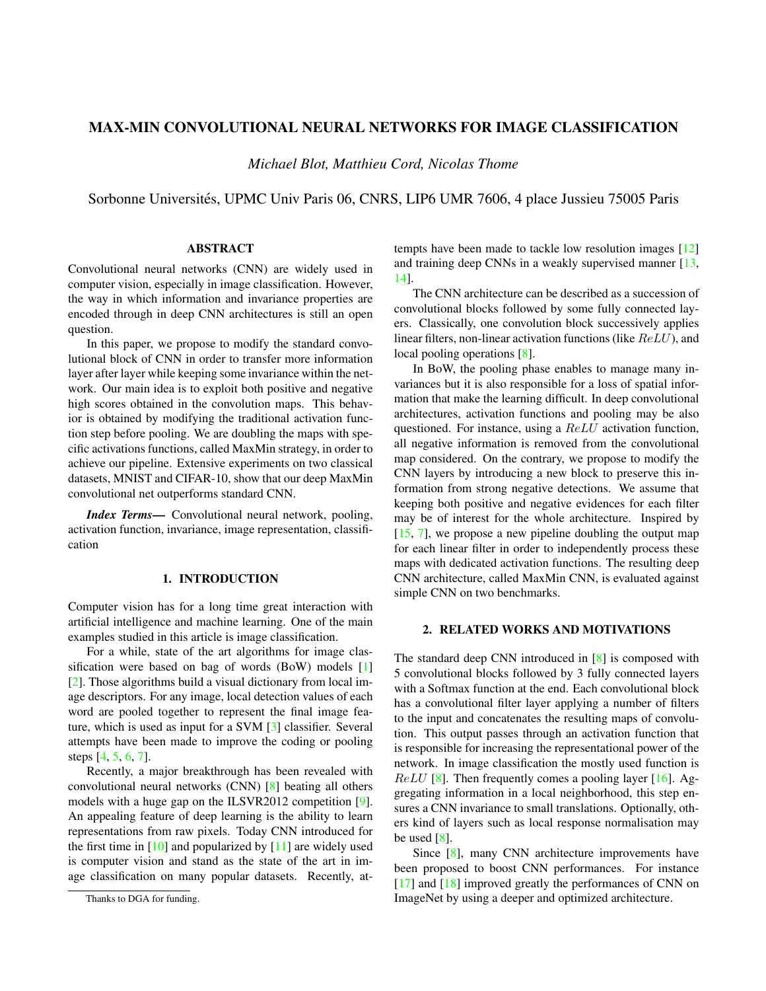# MAX-MIN CONVOLUTIONAL NEURAL NETWORKS FOR IMAGE CLASSIFICATION

*Michael Blot, Matthieu Cord, Nicolas Thome*

Sorbonne Universités, UPMC Univ Paris 06, CNRS, LIP6 UMR 7606, 4 place Jussieu 75005 Paris

## ABSTRACT

Convolutional neural networks (CNN) are widely used in computer vision, especially in image classification. However, the way in which information and invariance properties are encoded through in deep CNN architectures is still an open question.

In this paper, we propose to modify the standard convolutional block of CNN in order to transfer more information layer after layer while keeping some invariance within the network. Our main idea is to exploit both positive and negative high scores obtained in the convolution maps. This behavior is obtained by modifying the traditional activation function step before pooling. We are doubling the maps with specific activations functions, called MaxMin strategy, in order to achieve our pipeline. Extensive experiments on two classical datasets, MNIST and CIFAR-10, show that our deep MaxMin convolutional net outperforms standard CNN.

*Index Terms*— Convolutional neural network, pooling, activation function, invariance, image representation, classification

## 1. INTRODUCTION

Computer vision has for a long time great interaction with artificial intelligence and machine learning. One of the main examples studied in this article is image classification.

For a while, state of the art algorithms for image classification were based on bag of words (BoW) models [\[1\]](#page-4-0) [\[2\]](#page-4-1). Those algorithms build a visual dictionary from local image descriptors. For any image, local detection values of each word are pooled together to represent the final image feature, which is used as input for a SVM [\[3\]](#page-4-2) classifier. Several attempts have been made to improve the coding or pooling steps [\[4,](#page-4-3) [5,](#page-4-4) [6,](#page-4-5) [7\]](#page-4-6).

Recently, a major breakthrough has been revealed with convolutional neural networks (CNN) [\[8\]](#page-4-7) beating all others models with a huge gap on the ILSVR2012 competition [\[9\]](#page-4-8). An appealing feature of deep learning is the ability to learn representations from raw pixels. Today CNN introduced for the first time in  $[10]$  and popularized by  $[11]$  are widely used is computer vision and stand as the state of the art in image classification on many popular datasets. Recently, attempts have been made to tackle low resolution images [\[12\]](#page-4-11) and training deep CNNs in a weakly supervised manner [\[13,](#page-4-12) [14\]](#page-4-13).

The CNN architecture can be described as a succession of convolutional blocks followed by some fully connected layers. Classically, one convolution block successively applies linear filters, non-linear activation functions (like ReLU), and local pooling operations [\[8\]](#page-4-7).

In BoW, the pooling phase enables to manage many invariances but it is also responsible for a loss of spatial information that make the learning difficult. In deep convolutional architectures, activation functions and pooling may be also questioned. For instance, using a ReLU activation function, all negative information is removed from the convolutional map considered. On the contrary, we propose to modify the CNN layers by introducing a new block to preserve this information from strong negative detections. We assume that keeping both positive and negative evidences for each filter may be of interest for the whole architecture. Inspired by [\[15,](#page-4-14) [7\]](#page-4-6), we propose a new pipeline doubling the output map for each linear filter in order to independently process these maps with dedicated activation functions. The resulting deep CNN architecture, called MaxMin CNN, is evaluated against simple CNN on two benchmarks.

### 2. RELATED WORKS AND MOTIVATIONS

The standard deep CNN introduced in [\[8\]](#page-4-7) is composed with 5 convolutional blocks followed by 3 fully connected layers with a Softmax function at the end. Each convolutional block has a convolutional filter layer applying a number of filters to the input and concatenates the resulting maps of convolution. This output passes through an activation function that is responsible for increasing the representational power of the network. In image classification the mostly used function is  $ReLU$  [\[8\]](#page-4-7). Then frequently comes a pooling layer [\[16\]](#page-4-15). Aggregating information in a local neighborhood, this step ensures a CNN invariance to small translations. Optionally, others kind of layers such as local response normalisation may be used  $[8]$ .

Since [\[8\]](#page-4-7), many CNN architecture improvements have been proposed to boost CNN performances. For instance [\[17\]](#page-4-16) and [\[18\]](#page-4-17) improved greatly the performances of CNN on ImageNet by using a deeper and optimized architecture.

Thanks to DGA for funding.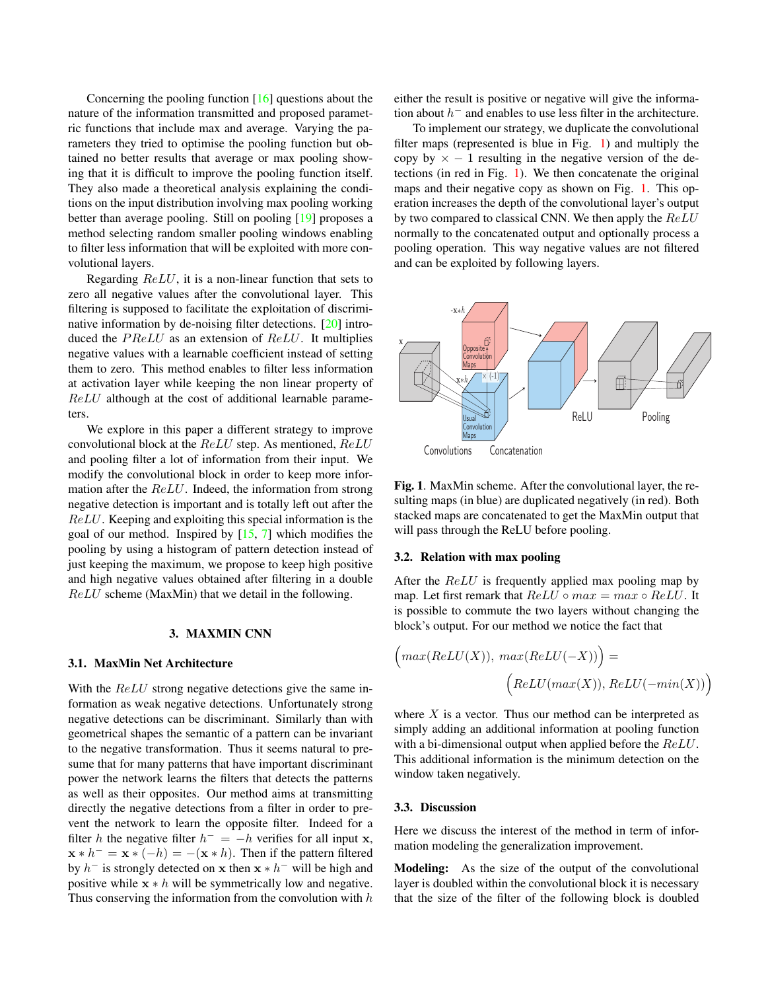Concerning the pooling function [\[16\]](#page-4-15) questions about the nature of the information transmitted and proposed parametric functions that include max and average. Varying the parameters they tried to optimise the pooling function but obtained no better results that average or max pooling showing that it is difficult to improve the pooling function itself. They also made a theoretical analysis explaining the conditions on the input distribution involving max pooling working better than average pooling. Still on pooling [\[19\]](#page-4-18) proposes a method selecting random smaller pooling windows enabling to filter less information that will be exploited with more convolutional layers.

Regarding ReLU, it is a non-linear function that sets to zero all negative values after the convolutional layer. This filtering is supposed to facilitate the exploitation of discriminative information by de-noising filter detections. [\[20\]](#page-4-19) introduced the  $PReLU$  as an extension of  $ReLU$ . It multiplies negative values with a learnable coefficient instead of setting them to zero. This method enables to filter less information at activation layer while keeping the non linear property of ReLU although at the cost of additional learnable parameters.

We explore in this paper a different strategy to improve convolutional block at the ReLU step. As mentioned, ReLU and pooling filter a lot of information from their input. We modify the convolutional block in order to keep more information after the ReLU. Indeed, the information from strong negative detection is important and is totally left out after the ReLU. Keeping and exploiting this special information is the goal of our method. Inspired by  $[15, 7]$  $[15, 7]$  $[15, 7]$  which modifies the pooling by using a histogram of pattern detection instead of just keeping the maximum, we propose to keep high positive and high negative values obtained after filtering in a double ReLU scheme (MaxMin) that we detail in the following.

#### 3. MAXMIN CNN

#### 3.1. MaxMin Net Architecture

With the  $ReLU$  strong negative detections give the same information as weak negative detections. Unfortunately strong negative detections can be discriminant. Similarly than with geometrical shapes the semantic of a pattern can be invariant to the negative transformation. Thus it seems natural to presume that for many patterns that have important discriminant power the network learns the filters that detects the patterns as well as their opposites. Our method aims at transmitting directly the negative detections from a filter in order to prevent the network to learn the opposite filter. Indeed for a filter h the negative filter  $h^- = -h$  verifies for all input x,  $\mathbf{x} * h^- = \mathbf{x} * (-h) = -(\mathbf{x} * h)$ . Then if the pattern filtered by  $h^-$  is strongly detected on x then  $x * h^-$  will be high and positive while  $x * h$  will be symmetrically low and negative. Thus conserving the information from the convolution with  $h$ 

either the result is positive or negative will give the information about  $h^-$  and enables to use less filter in the architecture.

To implement our strategy, we duplicate the convolutional filter maps (represented is blue in Fig. [1\)](#page-1-0) and multiply the copy by  $\times -1$  resulting in the negative version of the detections (in red in Fig. [1\)](#page-1-0). We then concatenate the original maps and their negative copy as shown on Fig. [1.](#page-1-0) This operation increases the depth of the convolutional layer's output by two compared to classical CNN. We then apply the ReLU normally to the concatenated output and optionally process a pooling operation. This way negative values are not filtered and can be exploited by following layers.



<span id="page-1-0"></span>Convolutions Concatenation

Fig. 1. MaxMin scheme. After the convolutional layer, the resulting maps (in blue) are duplicated negatively (in red). Both stacked maps are concatenated to get the MaxMin output that will pass through the ReLU before pooling.

#### 3.2. Relation with max pooling

After the ReLU is frequently applied max pooling map by map. Let first remark that  $ReLU \circ max = max \circ ReLU$ . It is possible to commute the two layers without changing the block's output. For our method we notice the fact that

$$
\left(\max(ReLU(X)), \ max(ReLU(-X))\right) =
$$

$$
\left(ReLU(max(X)), ReLU(-min(X))\right)
$$

where  $X$  is a vector. Thus our method can be interpreted as simply adding an additional information at pooling function with a bi-dimensional output when applied before the ReLU. This additional information is the minimum detection on the window taken negatively.

#### 3.3. Discussion

Here we discuss the interest of the method in term of information modeling the generalization improvement.

Modeling: As the size of the output of the convolutional layer is doubled within the convolutional block it is necessary that the size of the filter of the following block is doubled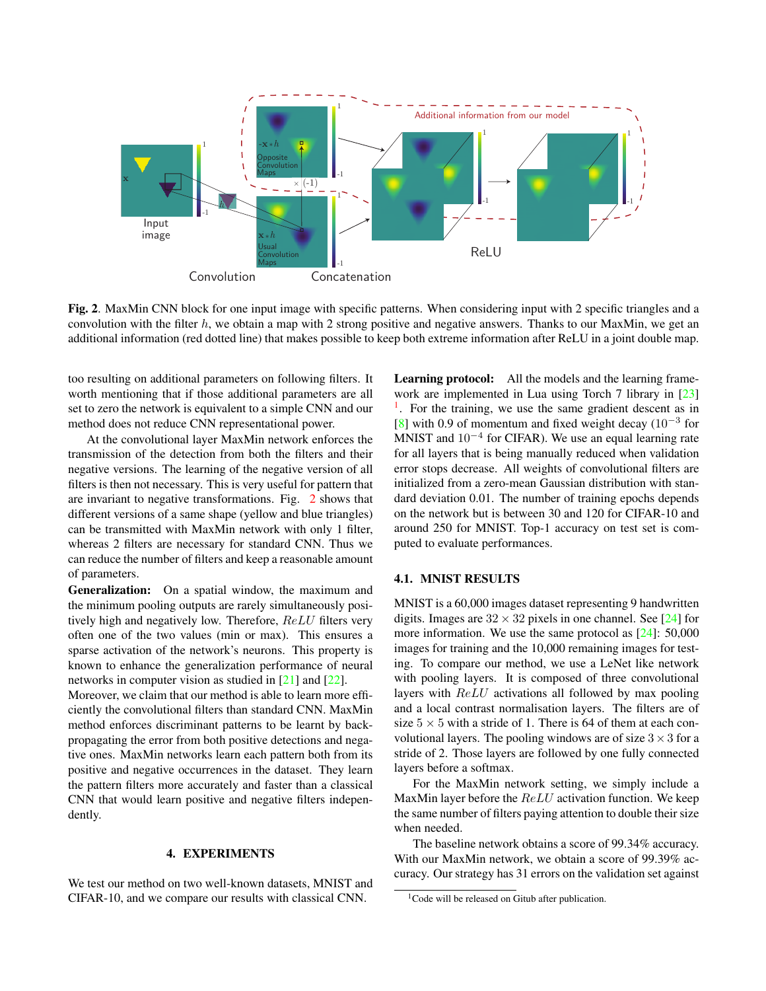

<span id="page-2-0"></span>Fig. 2. MaxMin CNN block for one input image with specific patterns. When considering input with 2 specific triangles and a convolution with the filter h, we obtain a map with 2 strong positive and negative answers. Thanks to our MaxMin, we get an additional information (red dotted line) that makes possible to keep both extreme information after ReLU in a joint double map.

too resulting on additional parameters on following filters. It worth mentioning that if those additional parameters are all set to zero the network is equivalent to a simple CNN and our method does not reduce CNN representational power.

At the convolutional layer MaxMin network enforces the transmission of the detection from both the filters and their negative versions. The learning of the negative version of all filters is then not necessary. This is very useful for pattern that are invariant to negative transformations. Fig. [2](#page-2-0) shows that different versions of a same shape (yellow and blue triangles) can be transmitted with MaxMin network with only 1 filter, whereas 2 filters are necessary for standard CNN. Thus we can reduce the number of filters and keep a reasonable amount of parameters.

Generalization: On a spatial window, the maximum and the minimum pooling outputs are rarely simultaneously positively high and negatively low. Therefore, ReLU filters very often one of the two values (min or max). This ensures a sparse activation of the network's neurons. This property is known to enhance the generalization performance of neural networks in computer vision as studied in [\[21\]](#page-4-20) and [\[22\]](#page-4-21).

Moreover, we claim that our method is able to learn more efficiently the convolutional filters than standard CNN. MaxMin method enforces discriminant patterns to be learnt by backpropagating the error from both positive detections and negative ones. MaxMin networks learn each pattern both from its positive and negative occurrences in the dataset. They learn the pattern filters more accurately and faster than a classical CNN that would learn positive and negative filters independently.

## 4. EXPERIMENTS

We test our method on two well-known datasets, MNIST and CIFAR-10, and we compare our results with classical CNN.

Learning protocol: All the models and the learning framework are implemented in Lua using Torch 7 library in [\[23\]](#page-4-22) <sup>[1](#page-2-1)</sup>. For the training, we use the same gradient descent as in [\[8\]](#page-4-7) with 0.9 of momentum and fixed weight decay (10<sup>-3</sup> for MNIST and  $10^{-4}$  for CIFAR). We use an equal learning rate for all layers that is being manually reduced when validation error stops decrease. All weights of convolutional filters are initialized from a zero-mean Gaussian distribution with standard deviation 0.01. The number of training epochs depends on the network but is between 30 and 120 for CIFAR-10 and around 250 for MNIST. Top-1 accuracy on test set is computed to evaluate performances.

### 4.1. MNIST RESULTS

MNIST is a 60,000 images dataset representing 9 handwritten digits. Images are  $32 \times 32$  pixels in one channel. See [\[24\]](#page-4-23) for more information. We use the same protocol as [\[24\]](#page-4-23): 50,000 images for training and the 10,000 remaining images for testing. To compare our method, we use a LeNet like network with pooling layers. It is composed of three convolutional layers with ReLU activations all followed by max pooling and a local contrast normalisation layers. The filters are of size  $5 \times 5$  with a stride of 1. There is 64 of them at each convolutional layers. The pooling windows are of size  $3 \times 3$  for a stride of 2. Those layers are followed by one fully connected layers before a softmax.

For the MaxMin network setting, we simply include a MaxMin layer before the ReLU activation function. We keep the same number of filters paying attention to double their size when needed.

The baseline network obtains a score of 99.34% accuracy. With our MaxMin network, we obtain a score of 99.39% accuracy. Our strategy has 31 errors on the validation set against

<span id="page-2-1"></span><sup>&</sup>lt;sup>1</sup>Code will be released on Gitub after publication.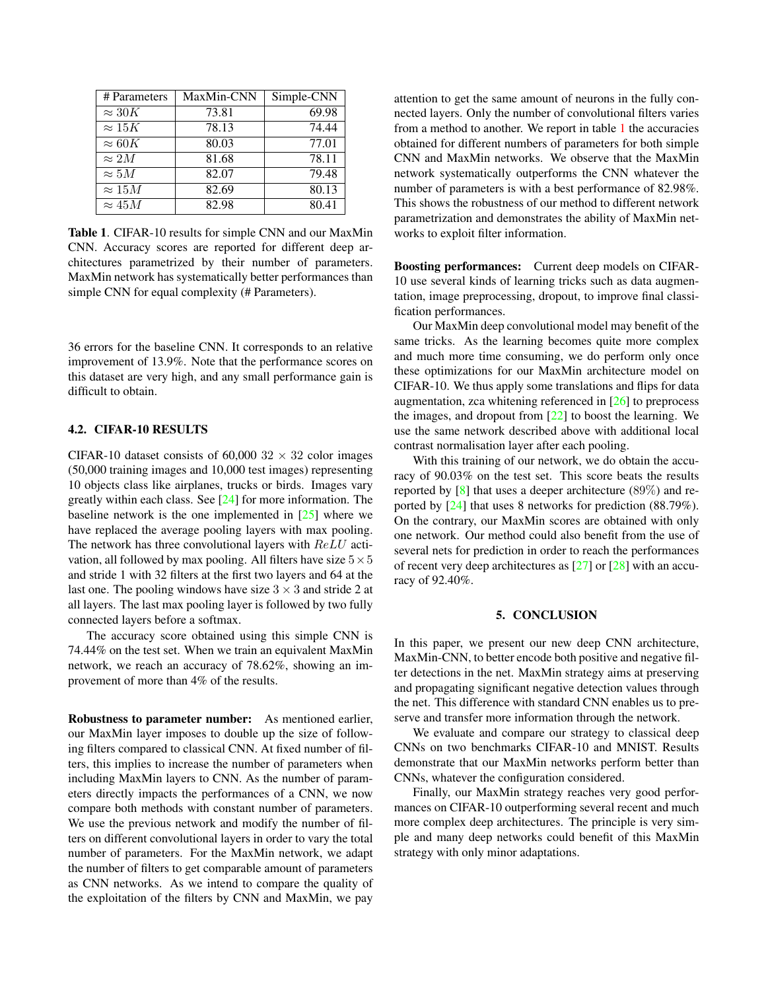| # Parameters  | MaxMin-CNN | Simple-CNN |
|---------------|------------|------------|
| $\approx 30K$ | 73.81      | 69.98      |
| $\approx 15K$ | 78.13      | 74.44      |
| $\approx 60K$ | 80.03      | 77.01      |
| $\approx 2M$  | 81.68      | 78.11      |
| $\approx 5M$  | 82.07      | 79.48      |
| $\approx 15M$ | 82.69      | 80.13      |
| $\approx 45M$ | 82.98      | 80.41      |

<span id="page-3-0"></span>Table 1. CIFAR-10 results for simple CNN and our MaxMin CNN. Accuracy scores are reported for different deep architectures parametrized by their number of parameters. MaxMin network has systematically better performances than simple CNN for equal complexity (# Parameters).

36 errors for the baseline CNN. It corresponds to an relative improvement of 13.9%. Note that the performance scores on this dataset are very high, and any small performance gain is difficult to obtain.

### 4.2. CIFAR-10 RESULTS

CIFAR-10 dataset consists of 60,000  $32 \times 32$  color images (50,000 training images and 10,000 test images) representing 10 objects class like airplanes, trucks or birds. Images vary greatly within each class. See [\[24\]](#page-4-23) for more information. The baseline network is the one implemented in [\[25\]](#page-4-24) where we have replaced the average pooling layers with max pooling. The network has three convolutional layers with ReLU activation, all followed by max pooling. All filters have size  $5 \times 5$ and stride 1 with 32 filters at the first two layers and 64 at the last one. The pooling windows have size  $3 \times 3$  and stride 2 at all layers. The last max pooling layer is followed by two fully connected layers before a softmax.

The accuracy score obtained using this simple CNN is 74.44% on the test set. When we train an equivalent MaxMin network, we reach an accuracy of 78.62%, showing an improvement of more than 4% of the results.

Robustness to parameter number: As mentioned earlier, our MaxMin layer imposes to double up the size of following filters compared to classical CNN. At fixed number of filters, this implies to increase the number of parameters when including MaxMin layers to CNN. As the number of parameters directly impacts the performances of a CNN, we now compare both methods with constant number of parameters. We use the previous network and modify the number of filters on different convolutional layers in order to vary the total number of parameters. For the MaxMin network, we adapt the number of filters to get comparable amount of parameters as CNN networks. As we intend to compare the quality of the exploitation of the filters by CNN and MaxMin, we pay

attention to get the same amount of neurons in the fully connected layers. Only the number of convolutional filters varies from a method to another. We report in table [1](#page-3-0) the accuracies obtained for different numbers of parameters for both simple CNN and MaxMin networks. We observe that the MaxMin network systematically outperforms the CNN whatever the number of parameters is with a best performance of 82.98%. This shows the robustness of our method to different network parametrization and demonstrates the ability of MaxMin networks to exploit filter information.

Boosting performances: Current deep models on CIFAR-10 use several kinds of learning tricks such as data augmentation, image preprocessing, dropout, to improve final classification performances.

Our MaxMin deep convolutional model may benefit of the same tricks. As the learning becomes quite more complex and much more time consuming, we do perform only once these optimizations for our MaxMin architecture model on CIFAR-10. We thus apply some translations and flips for data augmentation, zca whitening referenced in [\[26\]](#page-4-25) to preprocess the images, and dropout from [\[22\]](#page-4-21) to boost the learning. We use the same network described above with additional local contrast normalisation layer after each pooling.

With this training of our network, we do obtain the accuracy of 90.03% on the test set. This score beats the results reported by [\[8\]](#page-4-7) that uses a deeper architecture (89%) and reported by [\[24\]](#page-4-23) that uses 8 networks for prediction (88.79%). On the contrary, our MaxMin scores are obtained with only one network. Our method could also benefit from the use of several nets for prediction in order to reach the performances of recent very deep architectures as [\[27\]](#page-4-26) or [\[28\]](#page-4-27) with an accuracy of 92.40%.

#### 5. CONCLUSION

In this paper, we present our new deep CNN architecture, MaxMin-CNN, to better encode both positive and negative filter detections in the net. MaxMin strategy aims at preserving and propagating significant negative detection values through the net. This difference with standard CNN enables us to preserve and transfer more information through the network.

We evaluate and compare our strategy to classical deep CNNs on two benchmarks CIFAR-10 and MNIST. Results demonstrate that our MaxMin networks perform better than CNNs, whatever the configuration considered.

Finally, our MaxMin strategy reaches very good performances on CIFAR-10 outperforming several recent and much more complex deep architectures. The principle is very simple and many deep networks could benefit of this MaxMin strategy with only minor adaptations.